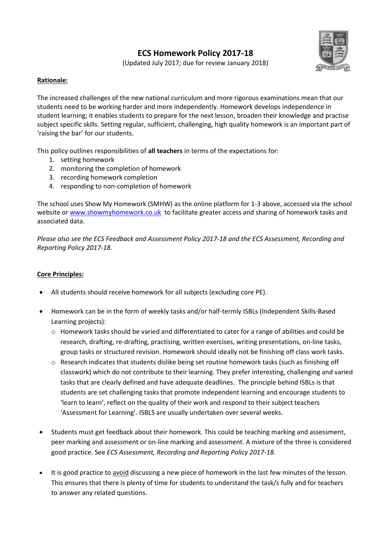# **ECS Homework Policy 2017-18**



(Updated July 2017; due for review January 2018)

## **Rationale:**

The increased challenges of the new national curriculum and more rigorous examinations mean that our students need to be working harder and more independently. Homework develops independence in student learning; it enables students to prepare for the next lesson, broaden their knowledge and practise subject specific skills. Setting regular, sufficient, challenging, high quality homework is an important part of 'raising the bar' for our students.

This policy outlines responsibilities of **all teachers** in terms of the expectations for:

- 1. setting homework
- 2. monitoring the completion of homework
- 3. recording homework completion
- 4. responding to non-completion of homework

The school uses Show My Homework (SMHW) as the online platform for 1-3 above, accessed via the school website o[r www.showmyhomework.co.uk](http://www.showmyhomework.co.uk/) to facilitate greater access and sharing of homework tasks and associated data.

*Please also see the ECS Feedback and Assessment Policy 2017-18 and the ECS Assessment, Recording and Reporting Policy 2017-18.*

## **Core Principles:**

- All students should receive homework for all subjects (excluding core PE).
- Homework can be in the form of weekly tasks and/or half-termly ISBLs (Independent Skills-Based Learning projects):
	- $\circ$  Homework tasks should be varied and differentiated to cater for a range of abilities and could be research, drafting, re-drafting, practising, written exercises, writing presentations, on-line tasks, group tasks or structured revision. Homework should ideally not be finishing off class work tasks.
	- $\circ$  Research indicates that students dislike being set routine homework tasks (such as finishing off classwork) which do not contribute to their learning. They prefer interesting, challenging and varied tasks that are clearly defined and have adequate deadlines. The principle behind ISBLs is that students are set challenging tasks that promote independent learning and encourage students to 'learn to learn', reflect on the quality of their work and respond to their subject teachers 'Assessment for Learning'. ISBLS are usually undertaken over several weeks.
- Students must get feedback about their homework. This could be teaching marking and assessment, peer marking and assessment or on-line marking and assessment. A mixture of the three is considered good practice. See *ECS Assessment, Recording and Reporting Policy 2017-18.*
- It is good practice to avoid discussing a new piece of homework in the last few minutes of the lesson. This ensures that there is plenty of time for students to understand the task/s fully and for teachers to answer any related questions.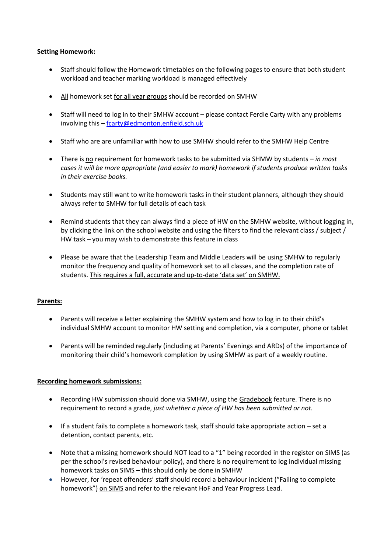#### **Setting Homework:**

- Staff should follow the Homework timetables on the following pages to ensure that both student workload and teacher marking workload is managed effectively
- All homework set for all year groups should be recorded on SMHW
- Staff will need to log in to their SMHW account please contact Ferdie Carty with any problems involving this – [fcarty@edmonton.enfield.sch.uk](mailto:fcarty@edmonton.enfield.sch.uk)
- Staff who are are unfamiliar with how to use SMHW should refer to the SMHW Help Centre
- There is no requirement for homework tasks to be submitted via SHMW by students *in most cases it will be more appropriate (and easier to mark) homework if students produce written tasks in their exercise books.*
- Students may still want to write homework tasks in their student planners, although they should always refer to SMHW for full details of each task
- Remind students that they can always find a piece of HW on the SMHW website, without logging in, by clicking the link on the school website and using the filters to find the relevant class / subject / HW task – you may wish to demonstrate this feature in class
- Please be aware that the Leadership Team and Middle Leaders will be using SMHW to regularly monitor the frequency and quality of homework set to all classes, and the completion rate of students. This requires a full, accurate and up-to-date 'data set' on SMHW.

#### **Parents:**

- Parents will receive a letter explaining the SMHW system and how to log in to their child's individual SMHW account to monitor HW setting and completion, via a computer, phone or tablet
- Parents will be reminded regularly (including at Parents' Evenings and ARDs) of the importance of monitoring their child's homework completion by using SMHW as part of a weekly routine.

#### **Recording homework submissions:**

- Recording HW submission should done via SMHW, using the Gradebook feature. There is no requirement to record a grade, *just whether a piece of HW has been submitted or not.*
- If a student fails to complete a homework task, staff should take appropriate action set a detention, contact parents, etc.
- Note that a missing homework should NOT lead to a "1" being recorded in the register on SIMS (as per the school's revised behaviour policy), and there is no requirement to log individual missing homework tasks on SIMS – this should only be done in SMHW
- However, for 'repeat offenders' staff should record a behaviour incident ("Failing to complete homework") on SIMS and refer to the relevant HoF and Year Progress Lead.